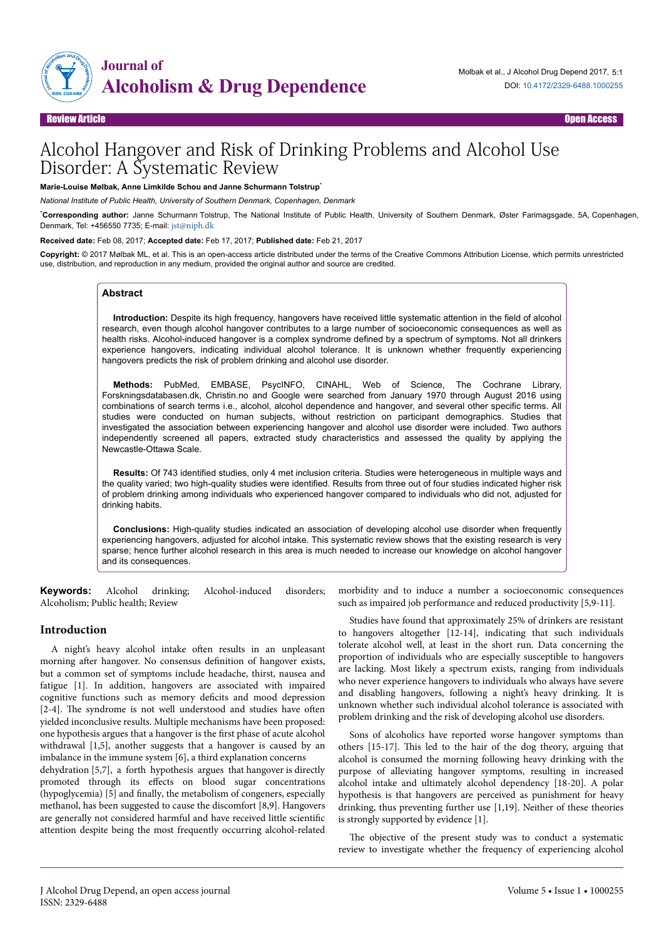

# Alcohol Hangover and Risk of Drinking Problems and Alcohol Use Disorder: A Systematic Review

**Marie-Louise Mølbak, Anne Limkilde Schou and Janne Schurmann Tolstrup**\*

*National Institute of Public Health, University of Southern Denmark, Copenhagen, Denmark*

\***Corresponding author:** Janne Schurmann Tolstrup, The National Institute of Public Health, University of Southern Denmark, Øster Farimagsgade, 5A, Copenhagen, Denmark, Tel: +456550 7735; E-mail: [jst@niph.dk](mailto:jst@niph.dk)

**Received date:** Feb 08, 2017; **Accepted date:** Feb 17, 2017; **Published date:** Feb 21, 2017

**Copyright:** © 2017 Mølbak ML, et al. This is an open-access article distributed under the terms of the Creative Commons Attribution License, which permits unrestricted use, distribution, and reproduction in any medium, provided the original author and source are credited.

#### **Abstract**

**Introduction:** Despite its high frequency, hangovers have received little systematic attention in the field of alcohol research, even though alcohol hangover contributes to a large number of socioeconomic consequences as well as health risks. Alcohol-induced hangover is a complex syndrome defined by a spectrum of symptoms. Not all drinkers experience hangovers, indicating individual alcohol tolerance. It is unknown whether frequently experiencing hangovers predicts the risk of problem drinking and alcohol use disorder.

**Methods:** PubMed, EMBASE, PsycINFO, CINAHL, Web of Science, The Cochrane Library, Forskningsdatabasen.dk, Christin.no and Google were searched from January 1970 through August 2016 using combinations of search terms i.e., alcohol, alcohol dependence and hangover, and several other specific terms. All studies were conducted on human subjects, without restriction on participant demographics. Studies that investigated the association between experiencing hangover and alcohol use disorder were included. Two authors independently screened all papers, extracted study characteristics and assessed the quality by applying the Newcastle-Ottawa Scale.

**Results:** Of 743 identified studies, only 4 met inclusion criteria. Studies were heterogeneous in multiple ways and the quality varied; two high-quality studies were identified. Results from three out of four studies indicated higher risk of problem drinking among individuals who experienced hangover compared to individuals who did not, adjusted for drinking habits.

**Conclusions:** High-quality studies indicated an association of developing alcohol use disorder when frequently experiencing hangovers, adjusted for alcohol intake. This systematic review shows that the existing research is very sparse; hence further alcohol research in this area is much needed to increase our knowledge on alcohol hangover and its consequences.

**Keywords:** Alcohol drinking; Alcohol-induced disorders; Alcoholism; Public health; Review

### **Introduction**

A night's heavy alcohol intake often results in an unpleasant morning after hangover. No consensus definition of hangover exists, but a common set of symptoms include headache, thirst, nausea and fatigue [1]. In addition, hangovers are associated with impaired cognitive functions such as memory deficits and mood depression [2-4]. The syndrome is not well understood and studies have often yielded inconclusive results. Multiple mechanisms have been proposed: one hypothesis argues that a hangover is the first phase of acute alcohol withdrawal [1,5], another suggests that a hangover is caused by an imbalance in the immune system [6], a third explanation concerns

dehydration [5,7], a forth hypothesis argues that hangover is directly promoted through its effects on blood sugar concentrations (hypoglycemia) [5] and finally, the metabolism of congeners, especially methanol, has been suggested to cause the discomfort [8,9]. Hangovers are generally not considered harmful and have received little scientific attention despite being the most frequently occurring alcohol-related morbidity and to induce a number a socioeconomic consequences such as impaired job performance and reduced productivity [5,9-11].

Studies have found that approximately 25% of drinkers are resistant to hangovers altogether [12-14], indicating that such individuals tolerate alcohol well, at least in the short run. Data concerning the proportion of individuals who are especially susceptible to hangovers are lacking. Most likely a spectrum exists, ranging from individuals who never experience hangovers to individuals who always have severe and disabling hangovers, following a night's heavy drinking. It is unknown whether such individual alcohol tolerance is associated with problem drinking and the risk of developing alcohol use disorders.

Sons of alcoholics have reported worse hangover symptoms than others [15-17]. Нis led to the hair of the dog theory, arguing that alcohol is consumed the morning following heavy drinking with the purpose of alleviating hangover symptoms, resulting in increased alcohol intake and ultimately alcohol dependency [18-20]. A polar hypothesis is that hangovers are perceived as punishment for heavy drinking, thus preventing further use [1,19]. Neither of these theories is strongly supported by evidence [1].

The objective of the present study was to conduct a systematic review to investigate whether the frequency of experiencing alcohol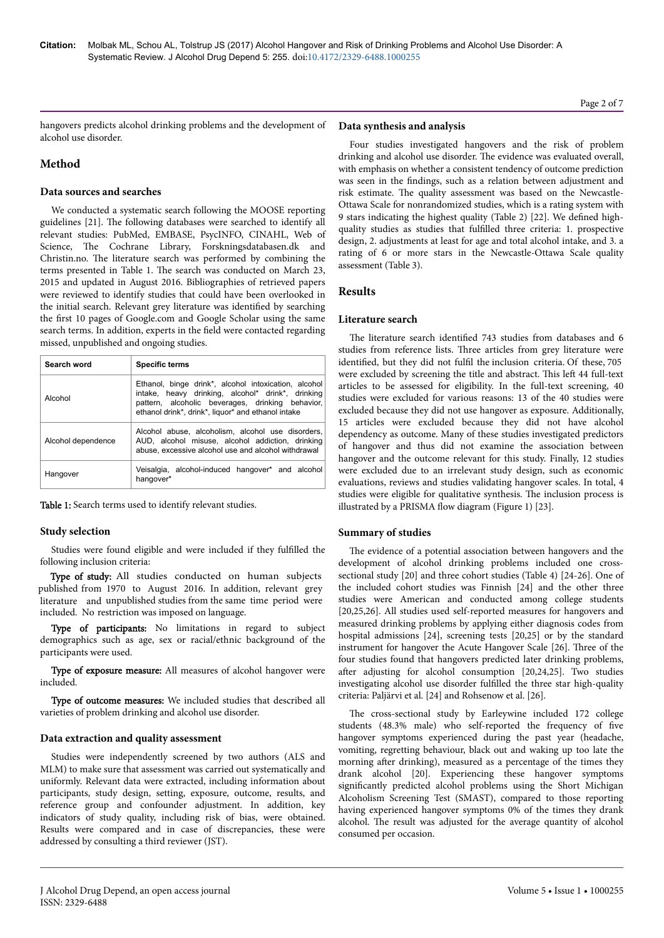hangovers predicts alcohol drinking problems and the development of alcohol use disorder.

# **Method**

### **Data sources and searches**

We conducted a systematic search following the MOOSE reporting guidelines [21]. Нe following databases were searched to identify all relevant studies: PubMed, EMBASE, PsycINFO, CINAHL, Web of Science, The Cochrane Library, Forskningsdatabasen.dk and Christin.no. Нe literature search was performed by combining the terms presented in Table 1. Нe search was conducted on March 23, 2015 and updated in August 2016. Bibliographies of retrieved papers were reviewed to identify studies that could have been overlooked in the initial search. Relevant grey literature was identified by searching the first 10 pages of Google.com and Google Scholar using the same search terms. In addition, experts in the field were contacted regarding missed, unpublished and ongoing studies.

| Search word        | <b>Specific terms</b>                                                                                                                                                                                               |  |  |  |  |  |
|--------------------|---------------------------------------------------------------------------------------------------------------------------------------------------------------------------------------------------------------------|--|--|--|--|--|
| Alcohol            | Ethanol, binge drink*, alcohol intoxication, alcohol<br>intake, heavy drinking, alcohol* drink*, drinking<br>pattern, alcoholic beverages, drinking behavior,<br>ethanol drink*, drink*, liquor* and ethanol intake |  |  |  |  |  |
| Alcohol dependence | Alcohol abuse, alcoholism, alcohol use disorders,<br>AUD, alcohol misuse, alcohol addiction, drinking<br>abuse, excessive alcohol use and alcohol withdrawal                                                        |  |  |  |  |  |
| Hangover           | Veisalgia, alcohol-induced hangover* and alcohol<br>hangover*                                                                                                                                                       |  |  |  |  |  |

Table 1: Search terms used to identify relevant studies.

### **Study selection**

Studies were found eligible and were included if they fulfilled the following inclusion criteria:

Type of study: All studies conducted on human subjects included. No restriction was imposed on language. published from 1970 to August 2016. In addition, relevant grey literature and unpublished studies from the same time period were

Type of participants: No limitations in regard to subject demographics such as age, sex or racial/ethnic background of the participants were used.

Type of exposure measure: All measures of alcohol hangover were included.

Type of outcome measures: We included studies that described all varieties of problem drinking and alcohol use disorder.

### **Data extraction and quality assessment**

Studies were independently screened by two authors (ALS and MLM) to make sure that assessment was carried out systematically and uniformly. Relevant data were extracted, including information about participants, study design, setting, exposure, outcome, results, and reference group and confounder adjustment. In addition, key indicators of study quality, including risk of bias, were obtained. Results were compared and in case of discrepancies, these were addressed by consulting a third reviewer (JST).

### **Data synthesis and analysis**

Four studies investigated hangovers and the risk of problem drinking and alcohol use disorder. Нe evidence was evaluated overall, with emphasis on whether a consistent tendency of outcome prediction was seen in the findings, such as a relation between adjustment and risk estimate. Нe quality assessment was based on the Newcastle-Ottawa Scale for nonrandomized studies, which is a rating system with 9 stars indicating the highest quality (Table 2) [22]. We defined highquality studies as studies that fulfilled three criteria: 1. prospective design, 2. adjustments at least for age and total alcohol intake, and 3. a rating of 6 or more stars in the Newcastle-Ottawa Scale quality assessment (Table 3).

### **Results**

### **Literature search**

The literature search identified 743 studies from databases and 6 studies from reference lists. Нree articles from grey literature were identified, but they did not fulfil the inclusion criteria. Of these, 705 were excluded by screening the title and abstract. This left 44 full-text articles to be assessed for eligibility. In the full-text screening, 40 studies were excluded for various reasons: 13 of the 40 studies were excluded because they did not use hangover as exposure. Additionally, 15 articles were excluded because they did not have alcohol dependency as outcome. Many of these studies investigated predictors of hangover and thus did not examine the association between hangover and the outcome relevant for this study. Finally, 12 studies were excluded due to an irrelevant study design, such as economic evaluations, reviews and studies validating hangover scales. In total, 4 studies were eligible for qualitative synthesis. Нe inclusion process is illustrated by a PRISMA flow diagram (Figure 1) [23].

### **Summary of studies**

The evidence of a potential association between hangovers and the development of alcohol drinking problems included one crosssectional study [20] and three cohort studies (Table 4) [24-26]. One of the included cohort studies was Finnish [24] and the other three studies were American and conducted among college students [20,25,26]. All studies used self-reported measures for hangovers and measured drinking problems by applying either diagnosis codes from hospital admissions [24], screening tests [20,25] or by the standard instrument for hangover the Acute Hangover Scale [26]. Нree of the four studies found that hangovers predicted later drinking problems, after adjusting for alcohol consumption [20,24,25]. Two studies investigating alcohol use disorder fulfilled the three star high-quality criteria: Paljärvi et al. [24] and Rohsenow et al. [26].

The cross-sectional study by Earleywine included 172 college students (48.3% male) who self-reported the frequency of five hangover symptoms experienced during the past year (headache, vomiting, regretting behaviour, black out and waking up too late the morning after drinking), measured as a percentage of the times they drank alcohol [20]. Experiencing these hangover symptoms significantly predicted alcohol problems using the Short Michigan Alcoholism Screening Test (SMAST), compared to those reporting having experienced hangover symptoms 0% of the times they drank alcohol. Нe result was adjusted for the average quantity of alcohol consumed per occasion.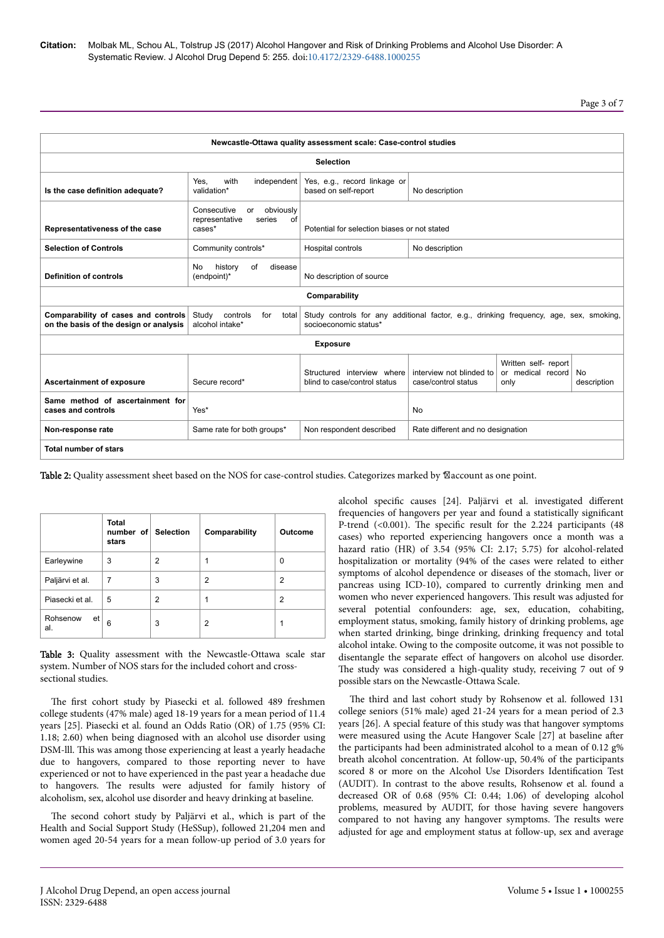Page 3 of 7

| Newcastle-Ottawa quality assessment scale: Case-control studies               |                                                                                                                                                                         |                                                            |                                                 |                                                   |                          |  |  |  |
|-------------------------------------------------------------------------------|-------------------------------------------------------------------------------------------------------------------------------------------------------------------------|------------------------------------------------------------|-------------------------------------------------|---------------------------------------------------|--------------------------|--|--|--|
|                                                                               |                                                                                                                                                                         | <b>Selection</b>                                           |                                                 |                                                   |                          |  |  |  |
| Is the case definition adequate?                                              | with<br>independent<br>Yes, e.g., record linkage or<br>Yes,<br>validation*<br>based on self-report<br>No description                                                    |                                                            |                                                 |                                                   |                          |  |  |  |
| Representativeness of the case                                                | Consecutive<br>obviously<br>or<br>representative<br>of<br>series<br>Potential for selection biases or not stated<br>cases*                                              |                                                            |                                                 |                                                   |                          |  |  |  |
| <b>Selection of Controls</b>                                                  | Community controls*                                                                                                                                                     | Hospital controls                                          | No description                                  |                                                   |                          |  |  |  |
| <b>Definition of controls</b>                                                 | history<br>of<br>disease<br>No.<br>No description of source<br>(endpoint)*                                                                                              |                                                            |                                                 |                                                   |                          |  |  |  |
|                                                                               |                                                                                                                                                                         | Comparability                                              |                                                 |                                                   |                          |  |  |  |
| Comparability of cases and controls<br>on the basis of the design or analysis | Study<br>controls<br>Study controls for any additional factor, e.g., drinking frequency, age, sex, smoking,<br>for<br>total<br>alcohol intake*<br>socioeconomic status* |                                                            |                                                 |                                                   |                          |  |  |  |
|                                                                               |                                                                                                                                                                         | <b>Exposure</b>                                            |                                                 |                                                   |                          |  |  |  |
| Ascertainment of exposure<br>Secure record*                                   |                                                                                                                                                                         | Structured interview where<br>blind to case/control status | interview not blinded to<br>case/control status | Written self- report<br>or medical record<br>only | <b>No</b><br>description |  |  |  |
| Same method of ascertainment for<br>cases and controls                        | Yes*                                                                                                                                                                    |                                                            | <b>No</b>                                       |                                                   |                          |  |  |  |
| Non-response rate                                                             | Same rate for both groups*                                                                                                                                              | Non respondent described                                   | Rate different and no designation               |                                                   |                          |  |  |  |
| Total number of stars                                                         |                                                                                                                                                                         |                                                            |                                                 |                                                   |                          |  |  |  |

 ${\bf Table~2:}$  Quality assessment sheet based on the NOS for case-control studies. Categorizes marked by  $\boxtimes$ account as one point.

|                       | <b>Total</b><br>number of Selection<br>stars |   | Comparability | Outcome |
|-----------------------|----------------------------------------------|---|---------------|---------|
| Earleywine            | 3                                            | 2 | 1             | 0       |
| Paljärvi et al.       | 7                                            | 3 | 2             | 2       |
| Piasecki et al.       | 5                                            | 2 | 1             | 2       |
| Rohsenow<br>et<br>al. | 6                                            | 3 | 2             |         |

Table 3: Quality assessment with the Newcastle-Ottawa scale star system. Number of NOS stars for the included cohort and crosssectional studies.

The first cohort study by Piasecki et al. followed 489 freshmen college students (47% male) aged 18-19 years for a mean period of 11.4 years [25]. Piasecki et al. found an Odds Ratio (OR) of 1.75 (95% CI: 1.18; 2.60) when being diagnosed with an alcohol use disorder using DSM-lll. Нis was among those experiencing at least a yearly headache due to hangovers, compared to those reporting never to have experienced or not to have experienced in the past year a headache due to hangovers. Нe results were adjusted for family history of alcoholism, sex, alcohol use disorder and heavy drinking at baseline.

The second cohort study by Paljärvi et al., which is part of the Health and Social Support Study (HeSSup), followed 21,204 men and women aged 20-54 years for a mean follow-up period of 3.0 years for

alcohol specific causes [24]. Paljärvi et al. investigated different frequencies of hangovers per year and found a statistically significant P-trend (<0.001). The specific result for the 2.224 participants (48 cases) who reported experiencing hangovers once a month was a hazard ratio (HR) of 3.54 (95% CI: 2.17; 5.75) for alcohol-related hospitalization or mortality (94% of the cases were related to either symptoms of alcohol dependence or diseases of the stomach, liver or pancreas using ICD-10), compared to currently drinking men and women who never experienced hangovers. Нis result was adjusted for several potential confounders: age, sex, education, cohabiting, employment status, smoking, family history of drinking problems, age when started drinking, binge drinking, drinking frequency and total alcohol intake. Owing to the composite outcome, it was not possible to disentangle the separate effect of hangovers on alcohol use disorder. The study was considered a high-quality study, receiving 7 out of 9 possible stars on the Newcastle-Ottawa Scale.

The third and last cohort study by Rohsenow et al. followed 131 college seniors (51% male) aged 21-24 years for a mean period of 2.3 years [26]. A special feature of this study was that hangover symptoms were measured using the Acute Hangover Scale [27] at baseline after the participants had been administrated alcohol to a mean of 0.12 g% breath alcohol concentration. At follow-up, 50.4% of the participants scored 8 or more on the Alcohol Use Disorders Identification Test (AUDIT). In contrast to the above results, Rohsenow et al. found a decreased OR of 0.68 (95% CI: 0.44; 1.06) of developing alcohol problems, measured by AUDIT, for those having severe hangovers compared to not having any hangover symptoms. Нe results were adjusted for age and employment status at follow-up, sex and average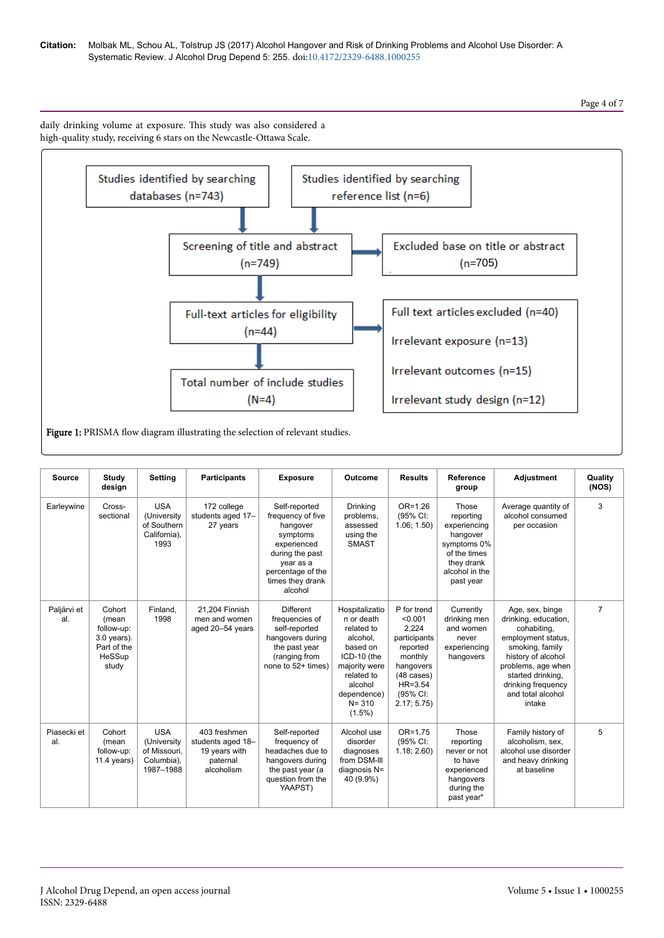### **Citation:** Molbak ML, Schou AL, Tolstrup JS (2017) Alcohol Hangover and Risk of Drinking Problems and Alcohol Use Disorder: A Systematic Review. J Alcohol Drug Depend 5: 255. doi:10.4172/2329-6488.1000255

# Page 4 of 7

daily drinking volume at exposure. Нis study was also considered a high-quality study, receiving 6 stars on the Newcastle-Ottawa Scale.



Figure 1: PRISMA flow diagram illustrating the selection of relevant studies.

| <b>Source</b>      | Study<br>design                                                                  | <b>Setting</b>                                                       | <b>Participants</b>                                                          | <b>Exposure</b>                                                                                                                                               | Outcome                                                                                                                                                              | <b>Results</b>                                                                                                                                       | <b>Reference</b><br>group                                                                                                  | <b>Adjustment</b>                                                                                                                                                                                                     | Quality<br>(NOS) |
|--------------------|----------------------------------------------------------------------------------|----------------------------------------------------------------------|------------------------------------------------------------------------------|---------------------------------------------------------------------------------------------------------------------------------------------------------------|----------------------------------------------------------------------------------------------------------------------------------------------------------------------|------------------------------------------------------------------------------------------------------------------------------------------------------|----------------------------------------------------------------------------------------------------------------------------|-----------------------------------------------------------------------------------------------------------------------------------------------------------------------------------------------------------------------|------------------|
| Earleywine         | Cross-<br>sectional                                                              | <b>USA</b><br>(University<br>of Southern<br>California).<br>1993     | 172 college<br>students aged 17-<br>27 years                                 | Self-reported<br>frequency of five<br>hangover<br>symptoms<br>experienced<br>during the past<br>year as a<br>percentage of the<br>times they drank<br>alcohol | <b>Drinking</b><br>problems,<br>assessed<br>using the<br><b>SMAST</b>                                                                                                | OR=1.26<br>(95% CI:<br>1.06; 1.50                                                                                                                    | Those<br>reporting<br>experiencing<br>hangover<br>symptoms 0%<br>of the times<br>they drank<br>alcohol in the<br>past year | Average quantity of<br>alcohol consumed<br>per occasion                                                                                                                                                               | 3                |
| Paljärvi et<br>al. | Cohort<br>(mean<br>follow-up:<br>$3.0$ years).<br>Part of the<br>HeSSup<br>study | Finland,<br>1998                                                     | 21.204 Finnish<br>men and women<br>aged 20-54 years                          | <b>Different</b><br>frequencies of<br>self-reported<br>hangovers during<br>the past year<br>(ranging from<br>none to 52+ times)                               | Hospitalizatio<br>n or death<br>related to<br>alcohol,<br>based on<br>ICD-10 (the<br>majority were<br>related to<br>alcohol<br>dependence)<br>$N = 310$<br>$(1.5\%)$ | P for trend<br>< 0.001<br>2.224<br>participants<br>reported<br>monthly<br>hangovers<br>$(48 \text{ cases})$<br>$HR = 3.54$<br>(95% CI:<br>2.17; 5.75 | Currently<br>drinking men<br>and women<br>never<br>experiencing<br>hangovers                                               | Age, sex, binge<br>drinking, education,<br>cohabiting,<br>employment status.<br>smoking, family<br>history of alcohol<br>problems, age when<br>started drinking.<br>drinking frequency<br>and total alcohol<br>intake | $\overline{7}$   |
| Piasecki et<br>al. | Cohort<br>(mean<br>follow-up:<br>$11.4$ years)                                   | <b>USA</b><br>(University<br>of Missouri,<br>Columbia),<br>1987-1988 | 403 freshmen<br>students aged 18-<br>19 years with<br>paternal<br>alcoholism | Self-reported<br>frequency of<br>headaches due to<br>hangovers during<br>the past year (a<br>question from the<br>YAAPST)                                     | Alcohol use<br>disorder<br>diagnoses<br>from DSM-III<br>diagnosis N=<br>40 (9.9%)                                                                                    | $OR = 1.75$<br>(95% CI:<br>1.18; 2.60                                                                                                                | Those<br>reporting<br>never or not<br>to have<br>experienced<br>hangovers<br>during the<br>past year*                      | Family history of<br>alcoholism, sex,<br>alcohol use disorder<br>and heavy drinking<br>at baseline                                                                                                                    | 5                |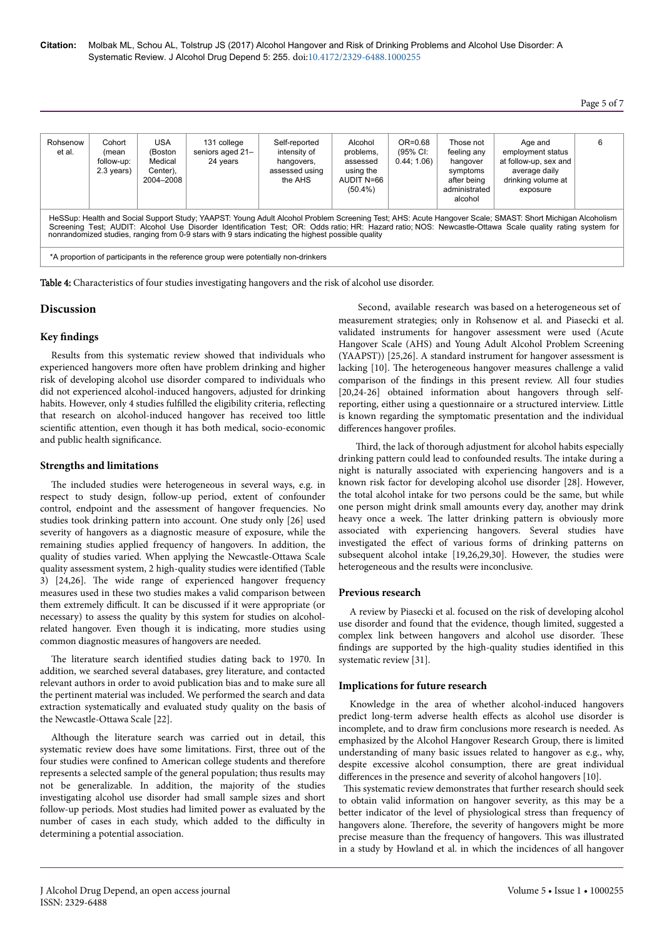# Page 5 of 7

| Rohsenow<br>et al.                                                                                                                                                                                                                                                                                                                                                                                                                                                                                               | Cohort<br>(mean<br>follow-up:<br>2.3 years) | USA<br>(Boston<br>Medical<br>Center),<br>2004-2008 | 131 college<br>seniors aged 21-<br>24 years | Self-reported<br>intensity of<br>hangovers,<br>assessed using<br>the AHS | Alcohol<br>problems,<br>assessed<br>using the<br>AUDIT N=66<br>$(50.4\%)$ | OR=0.68<br>(95% CI:<br>0.44; 1.06 | Those not<br>feeling any<br>hangover<br>symptoms<br>after being<br>administrated<br>alcohol | Age and<br>employment status<br>at follow-up, sex and<br>average daily<br>drinking volume at<br>exposure | 6 |
|------------------------------------------------------------------------------------------------------------------------------------------------------------------------------------------------------------------------------------------------------------------------------------------------------------------------------------------------------------------------------------------------------------------------------------------------------------------------------------------------------------------|---------------------------------------------|----------------------------------------------------|---------------------------------------------|--------------------------------------------------------------------------|---------------------------------------------------------------------------|-----------------------------------|---------------------------------------------------------------------------------------------|----------------------------------------------------------------------------------------------------------|---|
| HeSSup: Health and Social Support Study; YAAPST: Young Adult Alcohol Problem Screening Test; AHS: Acute Hangover Scale; SMAST: Short Michigan Alcoholism<br>Screening Test; AUDIT: Alcohol Use Disorder Identification Test; OR: Odds ratio; HR: Hazard ratio; NOS: Newcastle-Ottawa Scale quality rating system for<br>nonrandomized studies, ranging from 0-9 stars with 9 stars indicating the highest possible quality<br>*A proportion of participants in the reference group were potentially non-drinkers |                                             |                                                    |                                             |                                                                          |                                                                           |                                   |                                                                                             |                                                                                                          |   |

Table 4: Characteristics of four studies investigating hangovers and the risk of alcohol use disorder.

### **Discussion**

## **Key findings**

Results from this systematic review showed that individuals who experienced hangovers more often have problem drinking and higher risk of developing alcohol use disorder compared to individuals who did not experienced alcohol-induced hangovers, adjusted for drinking habits. However, only 4 studies fulfilled the eligibility criteria, reflecting that research on alcohol-induced hangover has received too little scientific attention, even though it has both medical, socio-economic and public health significance.

### **Strengths and limitations**

The included studies were heterogeneous in several ways, e.g. in respect to study design, follow-up period, extent of confounder control, endpoint and the assessment of hangover frequencies. No studies took drinking pattern into account. One study only [26] used severity of hangovers as a diagnostic measure of exposure, while the remaining studies applied frequency of hangovers. In addition, the quality of studies varied. When applying the Newcastle-Ottawa Scale quality assessment system, 2 high-quality studies were identified (Table 3) [24,26]. Нe wide range of experienced hangover frequency measures used in these two studies makes a valid comparison between them extremely difficult. It can be discussed if it were appropriate (or necessary) to assess the quality by this system for studies on alcoholrelated hangover. Even though it is indicating, more studies using common diagnostic measures of hangovers are needed.

The literature search identified studies dating back to 1970. In addition, we searched several databases, grey literature, and contacted relevant authors in order to avoid publication bias and to make sure all the pertinent material was included. We performed the search and data extraction systematically and evaluated study quality on the basis of the Newcastle-Ottawa Scale [22].

Although the literature search was carried out in detail, this systematic review does have some limitations. First, three out of the four studies were confined to American college students and therefore represents a selected sample of the general population; thus results may not be generalizable. In addition, the majority of the studies investigating alcohol use disorder had small sample sizes and short follow-up periods. Most studies had limited power as evaluated by the number of cases in each study, which added to the difficulty in determining a potential association.

Second, available research was based on a heterogeneous set of measurement strategies; only in Rohsenow et al. and Piasecki et al. validated instruments for hangover assessment were used (Acute Hangover Scale (AHS) and Young Adult Alcohol Problem Screening (YAAPST)) [25,26]. A standard instrument for hangover assessment is lacking [10]. Нe heterogeneous hangover measures challenge a valid comparison of the findings in this present review. All four studies [20,24-26] obtained information about hangovers through selfreporting, either using a questionnaire or a structured interview. Little is known regarding the symptomatic presentation and the individual differences hangover profiles.

Third, the lack of thorough adjustment for alcohol habits especially drinking pattern could lead to confounded results. Нe intake during a night is naturally associated with experiencing hangovers and is a known risk factor for developing alcohol use disorder [28]. However, the total alcohol intake for two persons could be the same, but while one person might drink small amounts every day, another may drink heavy once a week. Нe latter drinking pattern is obviously more associated with experiencing hangovers. Several studies have investigated the effect of various forms of drinking patterns on subsequent alcohol intake [19,26,29,30]. However, the studies were heterogeneous and the results were inconclusive.

### **Previous research**

A review by Piasecki et al. focused on the risk of developing alcohol use disorder and found that the evidence, though limited, suggested a complex link between hangovers and alcohol use disorder. Нese findings are supported by the high-quality studies identified in this systematic review [31].

### **Implications for future research**

Knowledge in the area of whether alcohol-induced hangovers predict long-term adverse health effects as alcohol use disorder is incomplete, and to draw firm conclusions more research is needed. As emphasized by the Alcohol Hangover Research Group, there is limited understanding of many basic issues related to hangover as e.g., why, despite excessive alcohol consumption, there are great individual differences in the presence and severity of alcohol hangovers [10].

This systematic review demonstrates that further research should seek to obtain valid information on hangover severity, as this may be a better indicator of the level of physiological stress than frequency of hangovers alone. Therefore, the severity of hangovers might be more precise measure than the frequency of hangovers. Нis was illustrated in a study by Howland et al. in which the incidences of all hangover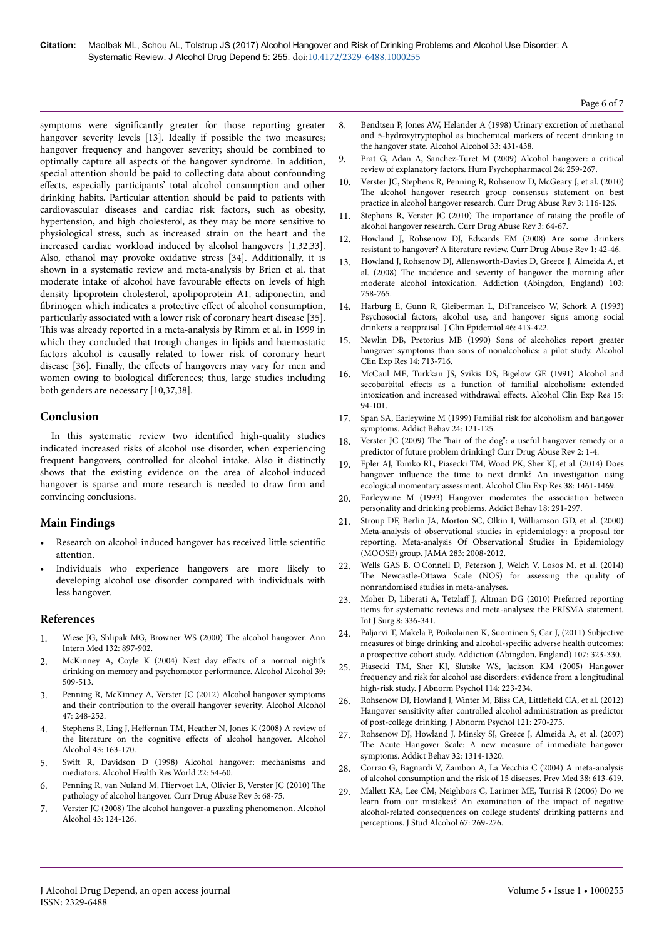symptoms were significantly greater for those reporting greater hangover severity levels [13]. Ideally if possible the two measures; hangover frequency and hangover severity; should be combined to optimally capture all aspects of the hangover syndrome. In addition, special attention should be paid to collecting data about confounding effects, especially participants' total alcohol consumption and other drinking habits. Particular attention should be paid to patients with cardiovascular diseases and cardiac risk factors, such as obesity, hypertension, and high cholesterol, as they may be more sensitive to physiological stress, such as increased strain on the heart and the increased cardiac workload induced by alcohol hangovers [1,32,33]. Also, ethanol may provoke oxidative stress [34]. Additionally, it is shown in a systematic review and meta-analysis by Brien et al. that moderate intake of alcohol have favourable effects on levels of high density lipoprotein cholesterol, apolipoprotein A1, adiponectin, and fibrinogen which indicates a protective effect of alcohol consumption, particularly associated with a lower risk of coronary heart disease [35]. This was already reported in a meta-analysis by Rimm et al. in 1999 in which they concluded that trough changes in lipids and haemostatic factors alcohol is causally related to lower risk of coronary heart disease [36]. Finally, the effects of hangovers may vary for men and women owing to biological differences; thus, large studies including both genders are necessary [10,37,38].

# **Conclusion**

In this systematic review two identified high-quality studies indicated increased risks of alcohol use disorder, when experiencing frequent hangovers, controlled for alcohol intake. Also it distinctly shows that the existing evidence on the area of alcohol-induced hangover is sparse and more research is needed to draw firm and convincing conclusions.

# **Main Findings**

- Research on alcohol-induced hangover has received little scientific attention.
- Individuals who experience hangovers are more likely to developing alcohol use disorder compared with individuals with less hangover.

## **References**

- 1. [Wiese JG, Shlipak MG, Browner WS \(2000\)](https://doi.org/10.7326/0003-4819-132-11-200006060-00008) Нe alcohol hangover. Ann [Intern Med 132: 897-902.](https://doi.org/10.7326/0003-4819-132-11-200006060-00008)
- 2. [McKinney A, Coyle K \(2004\) Next day](https://doi.org/10.1093/alcalc/agh099) effects of a normal night's [drinking on memory and psychomotor performance. Alcohol Alcohol 39:](https://doi.org/10.1093/alcalc/agh099) [509-513.](https://doi.org/10.1093/alcalc/agh099)
- 3. [Penning R, McKinney A, Verster JC \(2012\) Alcohol hangover symptoms](https://doi.org/10.1093/alcalc/ags029) [and their contribution to the overall hangover severity. Alcohol Alcohol](https://doi.org/10.1093/alcalc/ags029) [47: 248-252.](https://doi.org/10.1093/alcalc/ags029)
- 4. Stephens R, Ling J, Heffernan [TM, Heather N, Jones K \(2008\) A review of](https://doi.org/10.1093/alcalc/agm160) [the literature on the cognitive](https://doi.org/10.1093/alcalc/agm160) effects of alcohol hangover. Alcohol [Alcohol 43: 163-170.](https://doi.org/10.1093/alcalc/agm160)
- 5. Swift [R, Davidson D \(1998\) Alcohol hangover: mechanisms and](https://pubs.niaaa.nih.gov/publications/arh22-1/54-60.pdf) [mediators. Alcohol Health Res World 22: 54-60.](https://pubs.niaaa.nih.gov/publications/arh22-1/54-60.pdf)
- 6. Penning R, van Nuland M, Fliervoet LA, Olivier B, Verster JC (2010) Нe pathology of alcohol hangover. Curr Drug Abuse Rev 3: 68-75.
- 7. Verster JC (2008) Нe [alcohol hangover-a puzzling phenomenon. Alcohol](https://doi.org/10.1093/alcalc/agm163) [Alcohol 43: 124-126.](https://doi.org/10.1093/alcalc/agm163)
- 8. [Bendtsen P, Jones AW, Helander A \(1998\) Urinary excretion of methanol](http://citeseerx.ist.psu.edu/viewdoc/download?doi=10.1.1.628.6252&rep=rep1&type=pdf) [and 5-hydroxytryptophol as biochemical markers of recent drinking in](http://citeseerx.ist.psu.edu/viewdoc/download?doi=10.1.1.628.6252&rep=rep1&type=pdf) [the hangover state. Alcohol Alcohol 33: 431-438.](http://citeseerx.ist.psu.edu/viewdoc/download?doi=10.1.1.628.6252&rep=rep1&type=pdf)
- 9. [Prat G, Adan A, Sanchez-Turet M \(2009\) Alcohol hangover: a critical](https://doi.org/10.1002/hup.1023) [review of explanatory factors. Hum Psychopharmacol 24: 259-267.](https://doi.org/10.1002/hup.1023)
- 10. [Verster JC, Stephens R, Penning R, Rohsenow D, McGeary J, et al. \(2010\)](https://doi.org/10.2174/1874473711003020116) The [alcohol hangover research group consensus statement on best](https://doi.org/10.2174/1874473711003020116) [practice in alcohol hangover research. Curr Drug Abuse Rev 3: 116-126.](https://doi.org/10.2174/1874473711003020116)
- 11. [Stephans R, Verster JC \(2010\)](https://doi.org/10.2174/1874473711003020064) Нe importance of raising the profile of [alcohol hangover research. Curr Drug Abuse Rev 3: 64-67.](https://doi.org/10.2174/1874473711003020064)
- 12. Howland J, Rohsenow DJ, Edwards EM (2008) Are some drinkers resistant to hangover? A literature review. Curr Drug Abuse Rev 1: 42-46.
- 13. [Howland J, Rohsenow DJ, Allensworth-Davies D, Greece J, Almeida A, et](https://doi.org/10.1111/j.1360-0443.2008.02181.x) al. (2008) The [incidence and severity of hangover the morning](https://doi.org/10.1111/j.1360-0443.2008.02181.x) after [moderate alcohol intoxication. Addiction \(Abingdon, England\) 103:](https://doi.org/10.1111/j.1360-0443.2008.02181.x) [758-765.](https://doi.org/10.1111/j.1360-0443.2008.02181.x)
- 14. Harburg E, Gunn R, Gleiberman L, DiFranceisco W, Schork A (1993) Psychosocial factors, alcohol use, and hangover signs among social drinkers: a reappraisal. J Clin Epidemiol 46: 413-422.
- 15. Newlin DB, Pretorius MB (1990) Sons of alcoholics report greater hangover symptoms than sons of nonalcoholics: a pilot study. Alcohol Clin Exp Res 14: 713-716.
- 16. [McCaul ME, Turkkan JS, Svikis DS, Bigelow GE \(1991\) Alcohol and](https://doi.org/10.1111/j.1530-0277.1991.tb00524.x) secobarbital effects [as a function of familial alcoholism: extended](https://doi.org/10.1111/j.1530-0277.1991.tb00524.x) [intoxication and increased withdrawal](https://doi.org/10.1111/j.1530-0277.1991.tb00524.x) effects. Alcohol Clin Exp Res 15: [94-101.](https://doi.org/10.1111/j.1530-0277.1991.tb00524.x)
- 17. Span SA, Earleywine M (1999) Familial risk for alcoholism and hangover symptoms. Addict Behav 24: 121-125.
- 18. Verster JC (2009) The "hair of the dog": a useful hangover remedy or a predictor of future problem drinking? Curr Drug Abuse Rev 2: 1-4.
- 19. [Epler AJ, Tomko RL, Piasecki TM, Wood PK, Sher KJ, et al. \(2014\) Does](https://doi.org/10.1111/acer.12386) hangover influence [the time to next drink? An investigation using](https://doi.org/10.1111/acer.12386) [ecological momentary assessment. Alcohol Clin Exp Res 38: 1461-1469.](https://doi.org/10.1111/acer.12386)
- 20. Earleywine M (1993) Hangover moderates the association between personality and drinking problems. Addict Behav 18: 291-297.
- 21. [Stroup DF, Berlin JA, Morton SC, Olkin I, Williamson GD, et al. \(2000\)](https://doi.org/10.1001/jama.283.15.2008) [Meta-analysis of observational studies in epidemiology: a proposal for](https://doi.org/10.1001/jama.283.15.2008) [reporting. Meta-analysis Of Observational Studies in Epidemiology](https://doi.org/10.1001/jama.283.15.2008) [\(MOOSE\) group. JAMA 283: 2008-2012.](https://doi.org/10.1001/jama.283.15.2008)
- 22. Wells GAS B, O'Connell D, Peterson J, Welch V, Losos M, et al. (2014) The Newcastle-Ottawa Scale (NOS) for assessing the quality of nonrandomised studies in meta-analyses.
- 23. Moher D, Liberati A, Tetzlaff [J, Altman DG \(2010\) Preferred reporting](https://doi.org/10.1136/bmj.b2535) [items for systematic reviews and meta-analyses: the PRISMA statement.](https://doi.org/10.1136/bmj.b2535) [Int J Surg 8: 336-341.](https://doi.org/10.1136/bmj.b2535)
- 24. [Paljarvi T, Makela P, Poikolainen K, Suominen S, Car J, \(2011\) Subjective](https://doi.org/10.1111/j.1360-0443.2011.03596.x) [measures of binge drinking and](https://doi.org/10.1111/j.1360-0443.2011.03596.x) alcohol-specific adverse health outcomes: [a prospective cohort study. Addiction \(Abingdon, England\) 107: 323-330.](https://doi.org/10.1111/j.1360-0443.2011.03596.x)
- 25. [Piasecki TM, Sher KJ, Slutske WS, Jackson KM \(2005\) Hangover](https://doi.org/10.1037/0021-843X.114.2.223) [frequency and risk for alcohol use disorders: evidence from a longitudinal](https://doi.org/10.1037/0021-843X.114.2.223) [high-risk study. J Abnorm Psychol 114: 223-234.](https://doi.org/10.1037/0021-843X.114.2.223)
- 26. [Rohsenow DJ, Howland J, Winter M, Bliss CA,](https://doi.org/10.1037/a0024706) Littlefield CA, et al. (2012) Hangover sensitivity after [controlled alcohol administration as predictor](https://doi.org/10.1037/a0024706) [of post-college drinking. J Abnorm Psychol 121: 270-275.](https://doi.org/10.1037/a0024706)
- 27. [Rohsenow DJ, Howland J, Minsky SJ, Greece J, Almeida A, et al. \(2007\)](https://doi.org/10.1016/j.addbeh.2006.10.001) The [Acute Hangover Scale: A new measure of immediate hangover](https://doi.org/10.1016/j.addbeh.2006.10.001) [symptoms. Addict Behav 32: 1314-1320.](https://doi.org/10.1016/j.addbeh.2006.10.001)
- 28. [Corrao G, Bagnardi V, Zambon A, La Vecchia C \(2004\) A meta-analysis](https://doi.org/10.1016/j.ypmed.2003.11.027) [of alcohol consumption and the risk of 15 diseases. Prev Med 38: 613-619.](https://doi.org/10.1016/j.ypmed.2003.11.027)
- 29. [Mallett KA, Lee CM, Neighbors C, Larimer ME, Turrisi R \(2006\) Do we](http://dx.doi.org/10.15288/jsa.2006.67.269) [learn from our mistakes? An examination of the impact of negative](http://dx.doi.org/10.15288/jsa.2006.67.269) [alcohol-related consequences on college students' drinking patterns and](http://dx.doi.org/10.15288/jsa.2006.67.269) [perceptions. J Stud Alcohol 67: 269-276.](http://dx.doi.org/10.15288/jsa.2006.67.269)